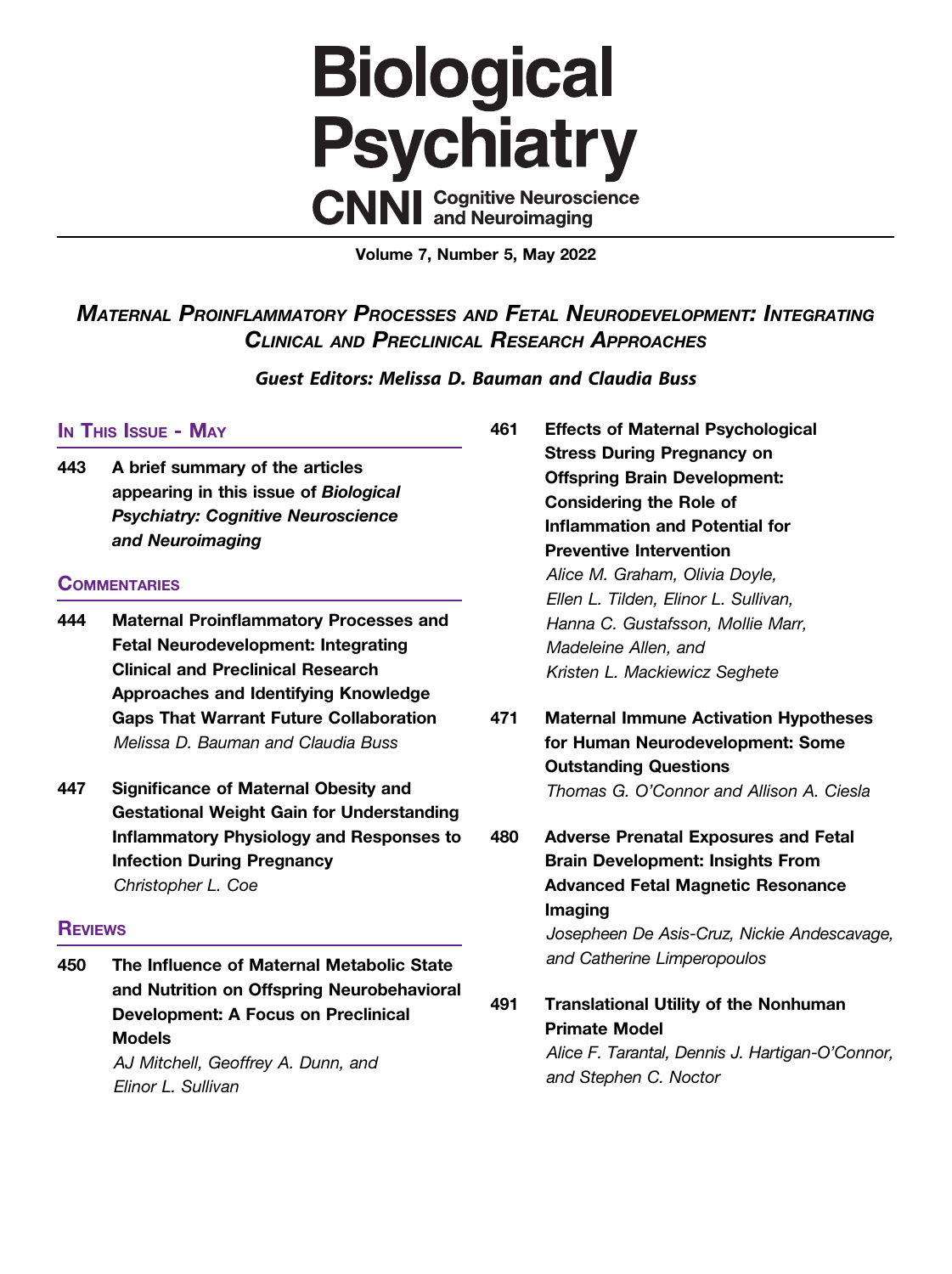

Volume 7, Number 5, May 2022

MATERNAL PROINFLAMMATORY PROCESSES AND FETAL NEURODEVELOPMENT: INTEGRATING CLINICAL AND PRECLINICAL RESEARCH APPROACHES

Guest Editors: Melissa D. Bauman and Claudia Buss

## In This Issue - May

443 A brief summary of the articles appearing in this issue of Biological Psychiatry: Cognitive Neuroscience and Neuroimaging

## **COMMENTARIES**

- 444 Maternal Proinflammatory Processes and Fetal Neurodevelopment: Integrating Clinical and Preclinical Research Approaches and Identifying Knowledge Gaps That Warrant Future Collaboration Melissa D. Bauman and Claudia Buss
- 447 Significance of Maternal Obesity and Gestational Weight Gain for Understanding Inflammatory Physiology and Responses to Infection During Pregnancy Christopher L. Coe

## **REVIEWS**

450 The Influence of Maternal Metabolic State and Nutrition on Offspring Neurobehavioral Development: A Focus on Preclinical Models

AJ Mitchell, Geoffrey A. Dunn, and Elinor L. Sullivan

- 461 Effects of Maternal Psychological Stress During Pregnancy on Offspring Brain Development: Considering the Role of Inflammation and Potential for Preventive Intervention Alice M. Graham, Olivia Doyle, Ellen L. Tilden, Elinor L. Sullivan, Hanna C. Gustafsson, Mollie Marr, Madeleine Allen, and Kristen L. Mackiewicz Seghete
- 471 Maternal Immune Activation Hypotheses for Human Neurodevelopment: Some Outstanding Questions Thomas G. O'Connor and Allison A. Ciesla

480 Adverse Prenatal Exposures and Fetal Brain Development: Insights From Advanced Fetal Magnetic Resonance Imaging Josepheen De Asis-Cruz, Nickie Andescavage, and Catherine Limperopoulos

491 Translational Utility of the Nonhuman Primate Model Alice F. Tarantal, Dennis J. Hartigan-O'Connor, and Stephen C. Noctor